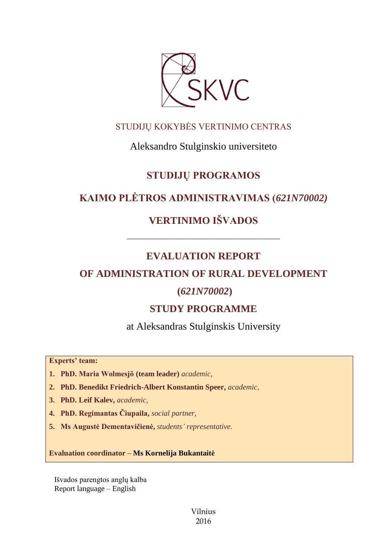

## STUDIJŲ KOKYBĖS VERTINIMO CENTRAS

## Aleksandro Stulginskio universiteto

## **STUDIJŲ PROGRAMOS**

## **KAIMO PLĖTROS ADMINISTRAVIMAS (***621N70002)*

# **VERTINIMO IŠVADOS**

# **EVALUATION REPORT**

––––––––––––––––––––––––––––––

## **OF ADMINISTRATION OF RURAL DEVELOPMENT**

## **(***621N70002***)**

# **STUDY PROGRAMME**

at Aleksandras Stulginskis University

**Experts' team:** 

- **1. PhD. Maria Wolmesjö (team leader)** *academic,*
- **2. PhD. Benedikt Friedrich-Albert Konstantin Speer,** *academic,*
- **3. PhD. Leif Kalev,** *academic,*
- **4. PhD. Regimantas Čiupaila,** *social partner,*
- **5. Ms Augustė Dementavičienė,** *students' representative*.

**Evaluation coordinator – Ms Kornelija Bukantaitė**

Išvados parengtos anglų kalba Report language – English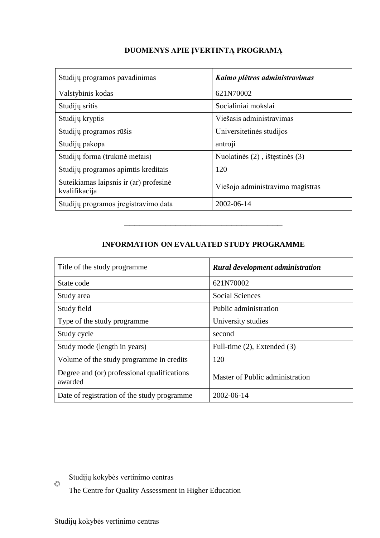# Studijų programos pavadinimas *Kaimo plėtros administravimas* Valstybinis kodas 621N70002 Studijų sritis Studijų sritis Studijų sritis Studijų sritis Studijų sritis Studijų sritis Studijų sritis Studijų sritis Studijų sritis Studijų sritis Studijų sritis Studijų sritis Studijų sritis Studijų sritis Studijų srit Studijų kryptis Viešasis administravimas Studijų programos rūšis  $|$ Universitetinės studijos Studijų pakopa antroji Studijų forma (trukmė metais) Nuolatinės (2), ištęstinės (3) Studijų programos apimtis kreditais 120 Suteikiamas laipsnis ir (ar) profesinė suteikiamas laipsins ir (ar.) profesinė<br>
Viešojo administravimo magistras Studijų programos įregistravimo data 2002-06-14

### **DUOMENYS APIE ĮVERTINTĄ PROGRAMĄ**

### **INFORMATION ON EVALUATED STUDY PROGRAMME**

–––––––––––––––––––––––––––––––

| Title of the study programme.                          | <b>Rural development administration</b> |
|--------------------------------------------------------|-----------------------------------------|
| State code                                             | 621N70002                               |
| Study area                                             | <b>Social Sciences</b>                  |
| Study field                                            | Public administration                   |
| Type of the study programme                            | University studies                      |
| Study cycle                                            | second                                  |
| Study mode (length in years)                           | Full-time $(2)$ , Extended $(3)$        |
| Volume of the study programme in credits               | 120                                     |
| Degree and (or) professional qualifications<br>awarded | Master of Public administration         |
| Date of registration of the study programme            | 2002-06-14                              |

© Studijų kokybės vertinimo centras

The Centre for Quality Assessment in Higher Education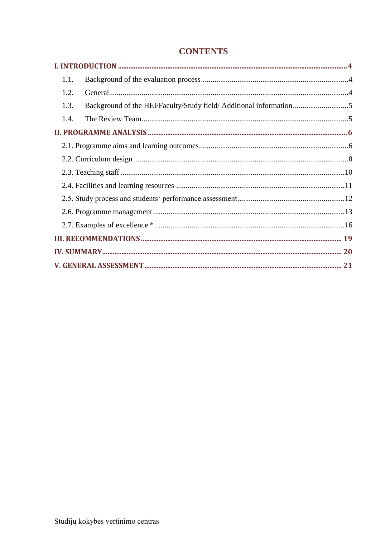| 1.1. |                                                                    |  |
|------|--------------------------------------------------------------------|--|
| 1.2. |                                                                    |  |
| 1.3. | Background of the HEI/Faculty/Study field/ Additional information5 |  |
| 1.4. |                                                                    |  |
|      |                                                                    |  |
|      |                                                                    |  |
|      |                                                                    |  |
|      |                                                                    |  |
|      |                                                                    |  |
|      |                                                                    |  |
|      |                                                                    |  |
|      |                                                                    |  |
|      |                                                                    |  |
|      |                                                                    |  |
|      |                                                                    |  |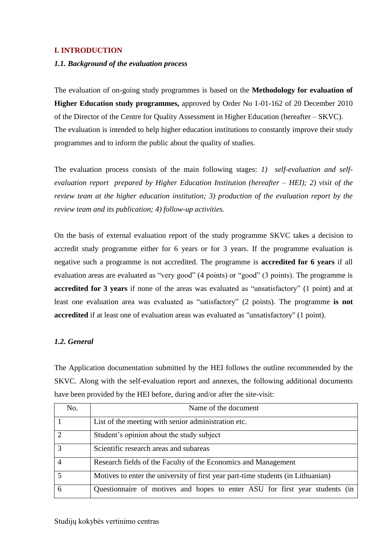### <span id="page-3-0"></span>**I. INTRODUCTION**

#### <span id="page-3-1"></span>*1.1. Background of the evaluation process*

The evaluation of on-going study programmes is based on the **Methodology for evaluation of Higher Education study programmes,** approved by Order No 1-01-162 of 20 December 2010 of the Director of the Centre for Quality Assessment in Higher Education (hereafter – SKVC). The evaluation is intended to help higher education institutions to constantly improve their study programmes and to inform the public about the quality of studies.

The evaluation process consists of the main following stages: *1) self-evaluation and selfevaluation report prepared by Higher Education Institution (hereafter – HEI); 2) visit of the review team at the higher education institution; 3) production of the evaluation report by the review team and its publication; 4) follow-up activities.* 

On the basis of external evaluation report of the study programme SKVC takes a decision to accredit study programme either for 6 years or for 3 years. If the programme evaluation is negative such a programme is not accredited. The programme is **accredited for 6 years** if all evaluation areas are evaluated as "very good" (4 points) or "good" (3 points). The programme is **accredited for 3 years** if none of the areas was evaluated as "unsatisfactory" (1 point) and at least one evaluation area was evaluated as "satisfactory" (2 points). The programme **is not accredited** if at least one of evaluation areas was evaluated as "unsatisfactory" (1 point).

#### <span id="page-3-2"></span>*1.2. General*

The Application documentation submitted by the HEI follows the outline recommended by the SKVC. Along with the self-evaluation report and annexes, the following additional documents have been provided by the HEI before, during and/or after the site-visit:

| No. | Name of the document                                                             |
|-----|----------------------------------------------------------------------------------|
|     | List of the meeting with senior administration etc.                              |
|     | Student's opinion about the study subject                                        |
|     | Scientific research areas and subareas                                           |
|     | Research fields of the Faculty of the Economics and Management                   |
|     | Motives to enter the university of first year part-time students (in Lithuanian) |
| 6   | Questionnaire of motives and hopes to enter ASU for first year students (in      |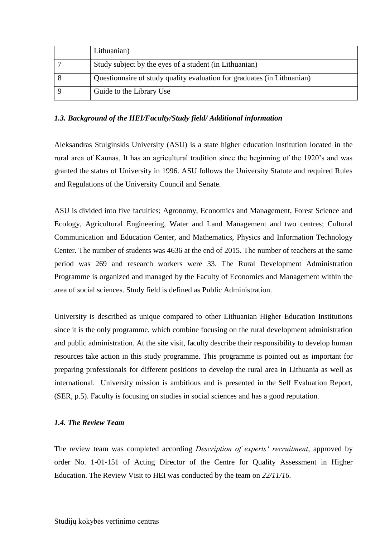| Lithuanian)                                                             |
|-------------------------------------------------------------------------|
| Study subject by the eyes of a student (in Lithuanian)                  |
| Questionnaire of study quality evaluation for graduates (in Lithuanian) |
| Guide to the Library Use                                                |

#### <span id="page-4-0"></span>*1.3. Background of the HEI/Faculty/Study field/ Additional information*

Aleksandras Stulginskis University (ASU) is a state higher education institution located in the rural area of Kaunas. It has an agricultural tradition since the beginning of the 1920's and was granted the status of University in 1996. ASU follows the University Statute and required Rules and Regulations of the University Council and Senate.

ASU is divided into five faculties; Agronomy, Economics and Management, Forest Science and Ecology, Agricultural Engineering, Water and Land Management and two centres; Cultural Communication and Education Center, and Mathematics, Physics and Information Technology Center. The number of students was 4636 at the end of 2015. The number of teachers at the same period was 269 and research workers were 33. The Rural Development Administration Programme is organized and managed by the Faculty of Economics and Management within the area of social sciences. Study field is defined as Public Administration.

University is described as unique compared to other Lithuanian Higher Education Institutions since it is the only programme, which combine focusing on the rural development administration and public administration. At the site visit, faculty describe their responsibility to develop human resources take action in this study programme. This programme is pointed out as important for preparing professionals for different positions to develop the rural area in Lithuania as well as international. University mission is ambitious and is presented in the Self Evaluation Report, (SER, p.5). Faculty is focusing on studies in social sciences and has a good reputation.

#### <span id="page-4-1"></span>*1.4. The Review Team*

The review team was completed according *Description of experts' recruitment*, approved by order No. 1-01-151 of Acting Director of the Centre for Quality Assessment in Higher Education. The Review Visit to HEI was conducted by the team on *22/11/16.*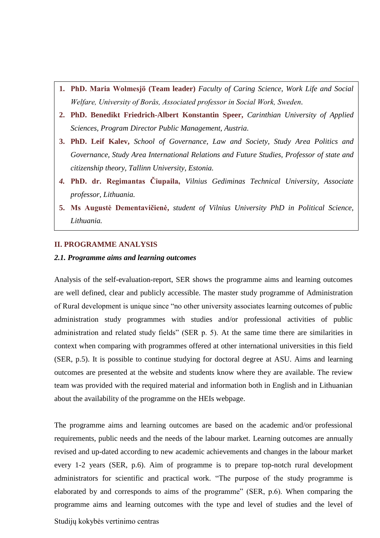- **1. PhD. Maria Wolmesjö (Team leader)** *Faculty of Caring Science, Work Life and Social Welfare, University of Borås, Associated professor in Social Work, Sweden.*
- **2. PhD. Benedikt Friedrich-Albert Konstantin Speer,** *Carinthian University of Applied Sciences, Program Director Public Management, Austria.*
- **3. PhD. Leif Kalev,** *School of Governance, Law and Society, Study Area Politics and Governance, Study Area International Relations and Future Studies, Professor of state and citizenship theory, Tallinn University, Estonia.*
- *4.* **PhD. dr. Regimantas Čiupaila,** *Vilnius Gediminas Technical University, Associate professor, Lithuania.*
- <span id="page-5-0"></span>**5. Ms Augustė Dementavičienė,** *student of Vilnius University PhD in Political Science, Lithuania.*

#### **II. PROGRAMME ANALYSIS**

#### <span id="page-5-1"></span>*2.1. Programme aims and learning outcomes*

Analysis of the self-evaluation-report, SER shows the programme aims and learning outcomes are well defined, clear and publicly accessible. The master study programme of Administration of Rural development is unique since "no other university associates learning outcomes of public administration study programmes with studies and/or professional activities of public administration and related study fields" (SER p. 5). At the same time there are similarities in context when comparing with programmes offered at other international universities in this field (SER, p.5). It is possible to continue studying for doctoral degree at ASU. Aims and learning outcomes are presented at the website and students know where they are available. The review team was provided with the required material and information both in English and in Lithuanian about the availability of the programme on the HEIs webpage.

The programme aims and learning outcomes are based on the academic and/or professional requirements, public needs and the needs of the labour market. Learning outcomes are annually revised and up-dated according to new academic achievements and changes in the labour market every 1-2 years (SER, p.6). Aim of programme is to prepare top-notch rural development administrators for scientific and practical work. "The purpose of the study programme is elaborated by and corresponds to aims of the programme" (SER, p.6). When comparing the programme aims and learning outcomes with the type and level of studies and the level of

Studijų kokybės vertinimo centras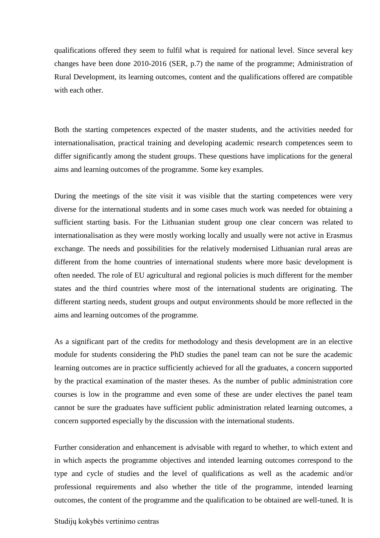qualifications offered they seem to fulfil what is required for national level. Since several key changes have been done 2010-2016 (SER, p.7) the name of the programme; Administration of Rural Development, its learning outcomes, content and the qualifications offered are compatible with each other

Both the starting competences expected of the master students, and the activities needed for internationalisation, practical training and developing academic research competences seem to differ significantly among the student groups. These questions have implications for the general aims and learning outcomes of the programme. Some key examples.

During the meetings of the site visit it was visible that the starting competences were very diverse for the international students and in some cases much work was needed for obtaining a sufficient starting basis. For the Lithuanian student group one clear concern was related to internationalisation as they were mostly working locally and usually were not active in Erasmus exchange. The needs and possibilities for the relatively modernised Lithuanian rural areas are different from the home countries of international students where more basic development is often needed. The role of EU agricultural and regional policies is much different for the member states and the third countries where most of the international students are originating. The different starting needs, student groups and output environments should be more reflected in the aims and learning outcomes of the programme.

As a significant part of the credits for methodology and thesis development are in an elective module for students considering the PhD studies the panel team can not be sure the academic learning outcomes are in practice sufficiently achieved for all the graduates, a concern supported by the practical examination of the master theses. As the number of public administration core courses is low in the programme and even some of these are under electives the panel team cannot be sure the graduates have sufficient public administration related learning outcomes, a concern supported especially by the discussion with the international students.

Further consideration and enhancement is advisable with regard to whether, to which extent and in which aspects the programme objectives and intended learning outcomes correspond to the type and cycle of studies and the level of qualifications as well as the academic and/or professional requirements and also whether the title of the programme, intended learning outcomes, the content of the programme and the qualification to be obtained are well-tuned. It is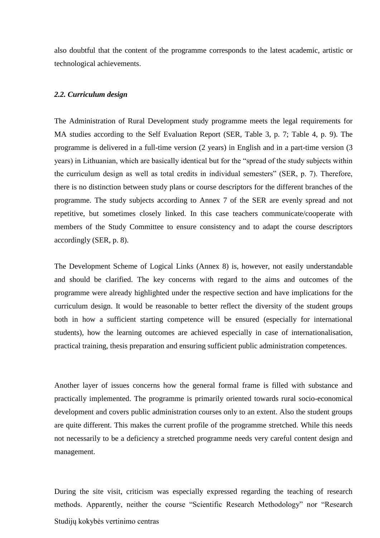also doubtful that the content of the programme corresponds to the latest academic, artistic or technological achievements.

#### <span id="page-7-0"></span>*2.2. Curriculum design*

The Administration of Rural Development study programme meets the legal requirements for MA studies according to the Self Evaluation Report (SER, Table 3, p. 7; Table 4, p. 9). The programme is delivered in a full-time version (2 years) in English and in a part-time version (3 years) in Lithuanian, which are basically identical but for the "spread of the study subjects within the curriculum design as well as total credits in individual semesters" (SER, p. 7). Therefore, there is no distinction between study plans or course descriptors for the different branches of the programme. The study subjects according to Annex 7 of the SER are evenly spread and not repetitive, but sometimes closely linked. In this case teachers communicate/cooperate with members of the Study Committee to ensure consistency and to adapt the course descriptors accordingly (SER, p. 8).

The Development Scheme of Logical Links (Annex 8) is, however, not easily understandable and should be clarified. The key concerns with regard to the aims and outcomes of the programme were already highlighted under the respective section and have implications for the curriculum design. It would be reasonable to better reflect the diversity of the student groups both in how a sufficient starting competence will be ensured (especially for international students), how the learning outcomes are achieved especially in case of internationalisation, practical training, thesis preparation and ensuring sufficient public administration competences.

Another layer of issues concerns how the general formal frame is filled with substance and practically implemented. The programme is primarily oriented towards rural socio-economical development and covers public administration courses only to an extent. Also the student groups are quite different. This makes the current profile of the programme stretched. While this needs not necessarily to be a deficiency a stretched programme needs very careful content design and management.

Studijų kokybės vertinimo centras During the site visit, criticism was especially expressed regarding the teaching of research methods. Apparently, neither the course "Scientific Research Methodology" nor "Research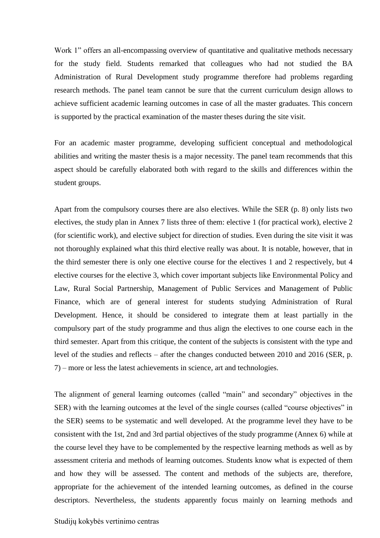Work 1" offers an all-encompassing overview of quantitative and qualitative methods necessary for the study field. Students remarked that colleagues who had not studied the BA Administration of Rural Development study programme therefore had problems regarding research methods. The panel team cannot be sure that the current curriculum design allows to achieve sufficient academic learning outcomes in case of all the master graduates. This concern is supported by the practical examination of the master theses during the site visit.

For an academic master programme, developing sufficient conceptual and methodological abilities and writing the master thesis is a major necessity. The panel team recommends that this aspect should be carefully elaborated both with regard to the skills and differences within the student groups.

Apart from the compulsory courses there are also electives. While the SER (p. 8) only lists two electives, the study plan in Annex 7 lists three of them: elective 1 (for practical work), elective 2 (for scientific work), and elective subject for direction of studies. Even during the site visit it was not thoroughly explained what this third elective really was about. It is notable, however, that in the third semester there is only one elective course for the electives 1 and 2 respectively, but 4 elective courses for the elective 3, which cover important subjects like Environmental Policy and Law, Rural Social Partnership, Management of Public Services and Management of Public Finance, which are of general interest for students studying Administration of Rural Development. Hence, it should be considered to integrate them at least partially in the compulsory part of the study programme and thus align the electives to one course each in the third semester. Apart from this critique, the content of the subjects is consistent with the type and level of the studies and reflects – after the changes conducted between 2010 and 2016 (SER, p. 7) – more or less the latest achievements in science, art and technologies.

The alignment of general learning outcomes (called "main" and secondary" objectives in the SER) with the learning outcomes at the level of the single courses (called "course objectives" in the SER) seems to be systematic and well developed. At the programme level they have to be consistent with the 1st, 2nd and 3rd partial objectives of the study programme (Annex 6) while at the course level they have to be complemented by the respective learning methods as well as by assessment criteria and methods of learning outcomes. Students know what is expected of them and how they will be assessed. The content and methods of the subjects are, therefore, appropriate for the achievement of the intended learning outcomes, as defined in the course descriptors. Nevertheless, the students apparently focus mainly on learning methods and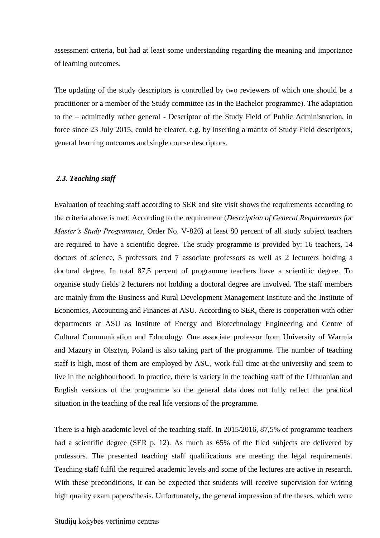assessment criteria, but had at least some understanding regarding the meaning and importance of learning outcomes.

The updating of the study descriptors is controlled by two reviewers of which one should be a practitioner or a member of the Study committee (as in the Bachelor programme). The adaptation to the – admittedly rather general - Descriptor of the Study Field of Public Administration, in force since 23 July 2015, could be clearer, e.g. by inserting a matrix of Study Field descriptors, general learning outcomes and single course descriptors.

#### <span id="page-9-0"></span>*2.3. Teaching staff*

Evaluation of teaching staff according to SER and site visit shows the requirements according to the criteria above is met: According to the requirement (*Description of General Requirements for Master's Study Programmes*, Order No. V-826) at least 80 percent of all study subject teachers are required to have a scientific degree. The study programme is provided by: 16 teachers, 14 doctors of science, 5 professors and 7 associate professors as well as 2 lecturers holding a doctoral degree. In total 87,5 percent of programme teachers have a scientific degree. To organise study fields 2 lecturers not holding a doctoral degree are involved. The staff members are mainly from the Business and Rural Development Management Institute and the Institute of Economics, Accounting and Finances at ASU. According to SER, there is cooperation with other departments at ASU as Institute of Energy and Biotechnology Engineering and Centre of Cultural Communication and Educology. One associate professor from University of Warmia and Mazury in Olsztyn, Poland is also taking part of the programme. The number of teaching staff is high, most of them are employed by ASU, work full time at the university and seem to live in the neighbourhood. In practice, there is variety in the teaching staff of the Lithuanian and English versions of the programme so the general data does not fully reflect the practical situation in the teaching of the real life versions of the programme.

There is a high academic level of the teaching staff. In 2015/2016, 87,5% of programme teachers had a scientific degree (SER p. 12). As much as 65% of the filed subjects are delivered by professors. The presented teaching staff qualifications are meeting the legal requirements. Teaching staff fulfil the required academic levels and some of the lectures are active in research. With these preconditions, it can be expected that students will receive supervision for writing high quality exam papers/thesis. Unfortunately, the general impression of the theses, which were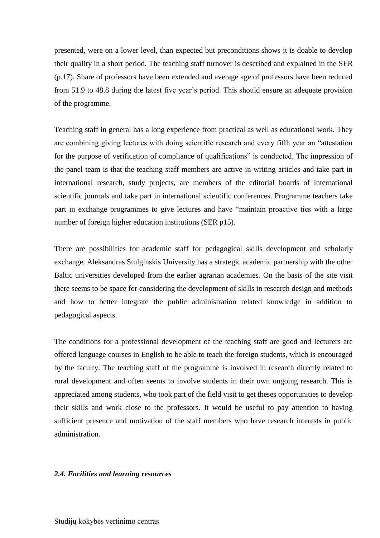presented, were on a lower level, than expected but preconditions shows it is doable to develop their quality in a short period. The teaching staff turnover is described and explained in the SER (p.17). Share of professors have been extended and average age of professors have been reduced from 51.9 to 48.8 during the latest five year's period. This should ensure an adequate provision of the programme.

Teaching staff in general has a long experience from practical as well as educational work. They are combining giving lectures with doing scientific research and every fifth year an "attestation for the purpose of verification of compliance of qualifications" is conducted. The impression of the panel team is that the teaching staff members are active in writing articles and take part in international research, study projects, are members of the editorial boards of international scientific journals and take part in international scientific conferences. Programme teachers take part in exchange programmes to give lectures and have "maintain proactive ties with a large number of foreign higher education institutions (SER p15).

There are possibilities for academic staff for pedagogical skills development and scholarly exchange. Aleksandras Stulginskis University has a strategic academic partnership with the other Baltic universities developed from the earlier agrarian academies. On the basis of the site visit there seems to be space for considering the development of skills in research design and methods and how to better integrate the public administration related knowledge in addition to pedagogical aspects.

The conditions for a professional development of the teaching staff are good and lecturers are offered language courses in English to be able to teach the foreign students, which is encouraged by the faculty. The teaching staff of the programme is involved in research directly related to rural development and often seems to involve students in their own ongoing research. This is appreciated among students, who took part of the field visit to get theses opportunities to develop their skills and work close to the professors. It would be useful to pay attention to having sufficient presence and motivation of the staff members who have research interests in public administration.

#### <span id="page-10-0"></span>*2.4. Facilities and learning resources*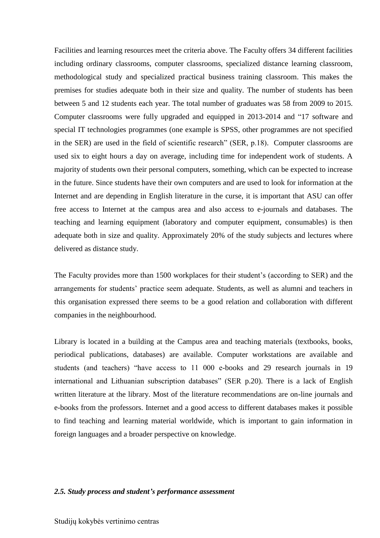Facilities and learning resources meet the criteria above. The Faculty offers 34 different facilities including ordinary classrooms, computer classrooms, specialized distance learning classroom, methodological study and specialized practical business training classroom. This makes the premises for studies adequate both in their size and quality. The number of students has been between 5 and 12 students each year. The total number of graduates was 58 from 2009 to 2015. Computer classrooms were fully upgraded and equipped in 2013-2014 and "17 software and special IT technologies programmes (one example is SPSS, other programmes are not specified in the SER) are used in the field of scientific research" (SER, p.18). Computer classrooms are used six to eight hours a day on average, including time for independent work of students. A majority of students own their personal computers, something, which can be expected to increase in the future. Since students have their own computers and are used to look for information at the Internet and are depending in English literature in the curse, it is important that ASU can offer free access to Internet at the campus area and also access to e-journals and databases. The teaching and learning equipment (laboratory and computer equipment, consumables) is then adequate both in size and quality. Approximately 20% of the study subjects and lectures where delivered as distance study.

The Faculty provides more than 1500 workplaces for their student's (according to SER) and the arrangements for students' practice seem adequate. Students, as well as alumni and teachers in this organisation expressed there seems to be a good relation and collaboration with different companies in the neighbourhood.

Library is located in a building at the Campus area and teaching materials (textbooks, books, periodical publications, databases) are available. Computer workstations are available and students (and teachers) "have access to 11 000 e-books and 29 research journals in 19 international and Lithuanian subscription databases" (SER p.20). There is a lack of English written literature at the library. Most of the literature recommendations are on-line journals and e-books from the professors. Internet and a good access to different databases makes it possible to find teaching and learning material worldwide, which is important to gain information in foreign languages and a broader perspective on knowledge.

#### <span id="page-11-0"></span>*2.5. Study process and student's performance assessment*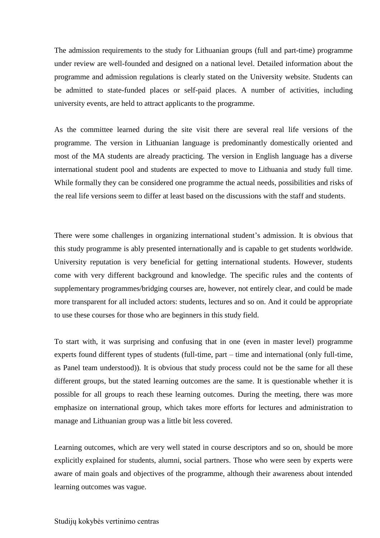<span id="page-12-0"></span>The admission requirements to the study for Lithuanian groups (full and part-time) programme under review are well-founded and designed on a national level. Detailed information about the programme and admission regulations is clearly stated on the University website. Students can be admitted to state-funded places or self-paid places. A number of activities, including university events, are held to attract applicants to the programme.

As the committee learned during the site visit there are several real life versions of the programme. The version in Lithuanian language is predominantly domestically oriented and most of the MA students are already practicing. The version in English language has a diverse international student pool and students are expected to move to Lithuania and study full time. While formally they can be considered one programme the actual needs, possibilities and risks of the real life versions seem to differ at least based on the discussions with the staff and students.

There were some challenges in organizing international student's admission. It is obvious that this study programme is ably presented internationally and is capable to get students worldwide. University reputation is very beneficial for getting international students. However, students come with very different background and knowledge. The specific rules and the contents of supplementary programmes/bridging courses are, however, not entirely clear, and could be made more transparent for all included actors: students, lectures and so on. And it could be appropriate to use these courses for those who are beginners in this study field.

To start with, it was surprising and confusing that in one (even in master level) programme experts found different types of students (full-time, part – time and international (only full-time, as Panel team understood)). It is obvious that study process could not be the same for all these different groups, but the stated learning outcomes are the same. It is questionable whether it is possible for all groups to reach these learning outcomes. During the meeting, there was more emphasize on international group, which takes more efforts for lectures and administration to manage and Lithuanian group was a little bit less covered.

Learning outcomes, which are very well stated in course descriptors and so on, should be more explicitly explained for students, alumni, social partners. Those who were seen by experts were aware of main goals and objectives of the programme, although their awareness about intended learning outcomes was vague.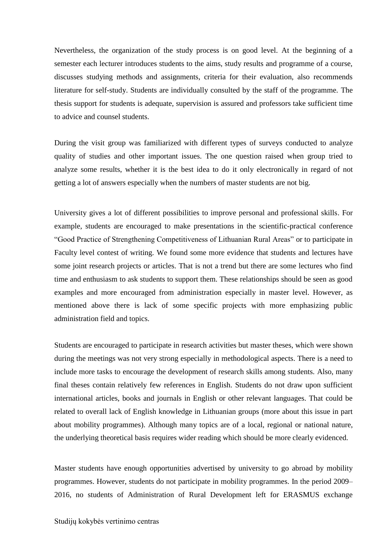Nevertheless, the organization of the study process is on good level. At the beginning of a semester each lecturer introduces students to the aims, study results and programme of a course, discusses studying methods and assignments, criteria for their evaluation, also recommends literature for self-study. Students are individually consulted by the staff of the programme. The thesis support for students is adequate, supervision is assured and professors take sufficient time to advice and counsel students.

During the visit group was familiarized with different types of surveys conducted to analyze quality of studies and other important issues. The one question raised when group tried to analyze some results, whether it is the best idea to do it only electronically in regard of not getting a lot of answers especially when the numbers of master students are not big.

University gives a lot of different possibilities to improve personal and professional skills. For example, students are encouraged to make presentations in the scientific-practical conference "Good Practice of Strengthening Competitiveness of Lithuanian Rural Areas" or to participate in Faculty level contest of writing. We found some more evidence that students and lectures have some joint research projects or articles. That is not a trend but there are some lectures who find time and enthusiasm to ask students to support them. These relationships should be seen as good examples and more encouraged from administration especially in master level. However, as mentioned above there is lack of some specific projects with more emphasizing public administration field and topics.

Students are encouraged to participate in research activities but master theses, which were shown during the meetings was not very strong especially in methodological aspects. There is a need to include more tasks to encourage the development of research skills among students. Also, many final theses contain relatively few references in English. Students do not draw upon sufficient international articles, books and journals in English or other relevant languages. That could be related to overall lack of English knowledge in Lithuanian groups (more about this issue in part about mobility programmes). Although many topics are of a local, regional or national nature, the underlying theoretical basis requires wider reading which should be more clearly evidenced.

Master students have enough opportunities advertised by university to go abroad by mobility programmes. However, students do not participate in mobility programmes. In the period 2009– 2016, no students of Administration of Rural Development left for ERASMUS exchange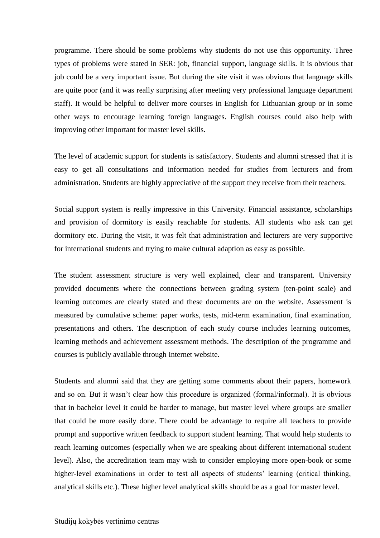programme. There should be some problems why students do not use this opportunity. Three types of problems were stated in SER: job, financial support, language skills. It is obvious that job could be a very important issue. But during the site visit it was obvious that language skills are quite poor (and it was really surprising after meeting very professional language department staff). It would be helpful to deliver more courses in English for Lithuanian group or in some other ways to encourage learning foreign languages. English courses could also help with improving other important for master level skills.

The level of academic support for students is satisfactory. Students and alumni stressed that it is easy to get all consultations and information needed for studies from lecturers and from administration. Students are highly appreciative of the support they receive from their teachers.

Social support system is really impressive in this University. Financial assistance, scholarships and provision of dormitory is easily reachable for students. All students who ask can get dormitory etc. During the visit, it was felt that administration and lecturers are very supportive for international students and trying to make cultural adaption as easy as possible.

The student assessment structure is very well explained, clear and transparent. University provided documents where the connections between grading system (ten-point scale) and learning outcomes are clearly stated and these documents are on the website. Assessment is measured by cumulative scheme: paper works, tests, mid-term examination, final examination, presentations and others. The description of each study course includes learning outcomes, learning methods and achievement assessment methods. The description of the programme and courses is publicly available through Internet website.

Students and alumni said that they are getting some comments about their papers, homework and so on. But it wasn't clear how this procedure is organized (formal/informal). It is obvious that in bachelor level it could be harder to manage, but master level where groups are smaller that could be more easily done. There could be advantage to require all teachers to provide prompt and supportive written feedback to support student learning. That would help students to reach learning outcomes (especially when we are speaking about different international student level). Also, the accreditation team may wish to consider employing more open-book or some higher-level examinations in order to test all aspects of students' learning (critical thinking, analytical skills etc.). These higher level analytical skills should be as a goal for master level.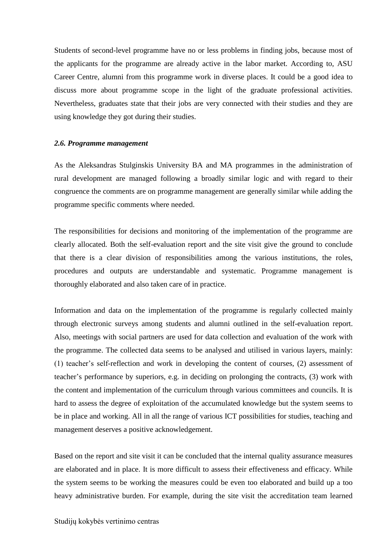Students of second-level programme have no or less problems in finding jobs, because most of the applicants for the programme are already active in the labor market. According to, ASU Career Centre, alumni from this programme work in diverse places. It could be a good idea to discuss more about programme scope in the light of the graduate professional activities. Nevertheless, graduates state that their jobs are very connected with their studies and they are using knowledge they got during their studies.

#### *2.6. Programme management*

<span id="page-15-0"></span>As the Aleksandras Stulginskis University BA and MA programmes in the administration of rural development are managed following a broadly similar logic and with regard to their congruence the comments are on programme management are generally similar while adding the programme specific comments where needed.

The responsibilities for decisions and monitoring of the implementation of the programme are clearly allocated. Both the self-evaluation report and the site visit give the ground to conclude that there is a clear division of responsibilities among the various institutions, the roles, procedures and outputs are understandable and systematic. Programme management is thoroughly elaborated and also taken care of in practice.

Information and data on the implementation of the programme is regularly collected mainly through electronic surveys among students and alumni outlined in the self-evaluation report. Also, meetings with social partners are used for data collection and evaluation of the work with the programme. The collected data seems to be analysed and utilised in various layers, mainly: (1) teacher's self-reflection and work in developing the content of courses, (2) assessment of teacher's performance by superiors, e.g. in deciding on prolonging the contracts, (3) work with the content and implementation of the curriculum through various committees and councils. It is hard to assess the degree of exploitation of the accumulated knowledge but the system seems to be in place and working. All in all the range of various ICT possibilities for studies, teaching and management deserves a positive acknowledgement.

Based on the report and site visit it can be concluded that the internal quality assurance measures are elaborated and in place. It is more difficult to assess their effectiveness and efficacy. While the system seems to be working the measures could be even too elaborated and build up a too heavy administrative burden. For example, during the site visit the accreditation team learned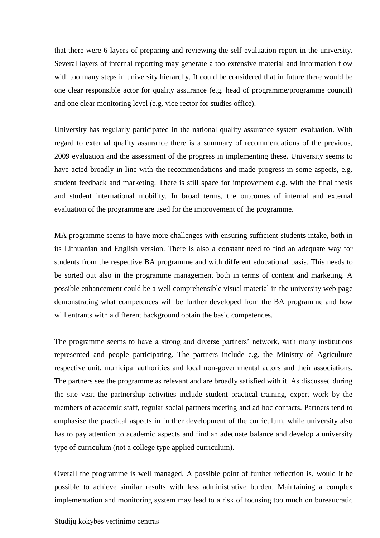that there were 6 layers of preparing and reviewing the self-evaluation report in the university. Several layers of internal reporting may generate a too extensive material and information flow with too many steps in university hierarchy. It could be considered that in future there would be one clear responsible actor for quality assurance (e.g. head of programme/programme council) and one clear monitoring level (e.g. vice rector for studies office).

University has regularly participated in the national quality assurance system evaluation. With regard to external quality assurance there is a summary of recommendations of the previous, 2009 evaluation and the assessment of the progress in implementing these. University seems to have acted broadly in line with the recommendations and made progress in some aspects, e.g. student feedback and marketing. There is still space for improvement e.g. with the final thesis and student international mobility. In broad terms, the outcomes of internal and external evaluation of the programme are used for the improvement of the programme.

MA programme seems to have more challenges with ensuring sufficient students intake, both in its Lithuanian and English version. There is also a constant need to find an adequate way for students from the respective BA programme and with different educational basis. This needs to be sorted out also in the programme management both in terms of content and marketing. A possible enhancement could be a well comprehensible visual material in the university web page demonstrating what competences will be further developed from the BA programme and how will entrants with a different background obtain the basic competences.

The programme seems to have a strong and diverse partners' network, with many institutions represented and people participating. The partners include e.g. the Ministry of Agriculture respective unit, municipal authorities and local non-governmental actors and their associations. The partners see the programme as relevant and are broadly satisfied with it. As discussed during the site visit the partnership activities include student practical training, expert work by the members of academic staff, regular social partners meeting and ad hoc contacts. Partners tend to emphasise the practical aspects in further development of the curriculum, while university also has to pay attention to academic aspects and find an adequate balance and develop a university type of curriculum (not a college type applied curriculum).

Overall the programme is well managed. A possible point of further reflection is, would it be possible to achieve similar results with less administrative burden. Maintaining a complex implementation and monitoring system may lead to a risk of focusing too much on bureaucratic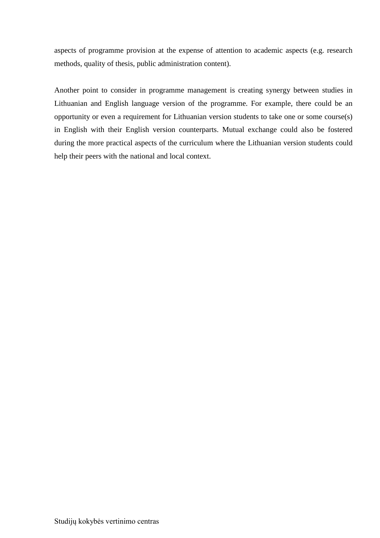aspects of programme provision at the expense of attention to academic aspects (e.g. research methods, quality of thesis, public administration content).

Another point to consider in programme management is creating synergy between studies in Lithuanian and English language version of the programme. For example, there could be an opportunity or even a requirement for Lithuanian version students to take one or some course(s) in English with their English version counterparts. Mutual exchange could also be fostered during the more practical aspects of the curriculum where the Lithuanian version students could help their peers with the national and local context.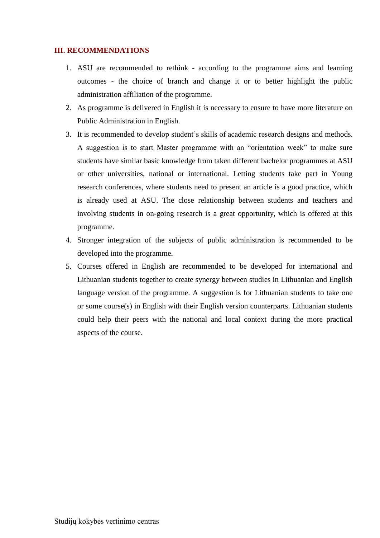#### <span id="page-18-0"></span>**III. RECOMMENDATIONS**

- 1. ASU are recommended to rethink according to the programme aims and learning outcomes - the choice of branch and change it or to better highlight the public administration affiliation of the programme.
- 2. As programme is delivered in English it is necessary to ensure to have more literature on Public Administration in English.
- 3. It is recommended to develop student's skills of academic research designs and methods. A suggestion is to start Master programme with an "orientation week" to make sure students have similar basic knowledge from taken different bachelor programmes at ASU or other universities, national or international. Letting students take part in Young research conferences, where students need to present an article is a good practice, which is already used at ASU. The close relationship between students and teachers and involving students in on-going research is a great opportunity, which is offered at this programme.
- 4. Stronger integration of the subjects of public administration is recommended to be developed into the programme.
- 5. Courses offered in English are recommended to be developed for international and Lithuanian students together to create synergy between studies in Lithuanian and English language version of the programme. A suggestion is for Lithuanian students to take one or some course(s) in English with their English version counterparts. Lithuanian students could help their peers with the national and local context during the more practical aspects of the course.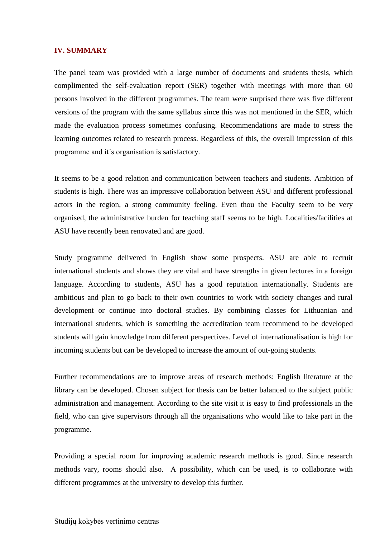#### <span id="page-19-0"></span>**IV. SUMMARY**

The panel team was provided with a large number of documents and students thesis, which complimented the self-evaluation report (SER) together with meetings with more than 60 persons involved in the different programmes. The team were surprised there was five different versions of the program with the same syllabus since this was not mentioned in the SER, which made the evaluation process sometimes confusing. Recommendations are made to stress the learning outcomes related to research process. Regardless of this, the overall impression of this programme and it´s organisation is satisfactory.

It seems to be a good relation and communication between teachers and students. Ambition of students is high. There was an impressive collaboration between ASU and different professional actors in the region, a strong community feeling. Even thou the Faculty seem to be very organised, the administrative burden for teaching staff seems to be high. Localities/facilities at ASU have recently been renovated and are good.

Study programme delivered in English show some prospects. ASU are able to recruit international students and shows they are vital and have strengths in given lectures in a foreign language. According to students, ASU has a good reputation internationally. Students are ambitious and plan to go back to their own countries to work with society changes and rural development or continue into doctoral studies. By combining classes for Lithuanian and international students, which is something the accreditation team recommend to be developed students will gain knowledge from different perspectives. Level of internationalisation is high for incoming students but can be developed to increase the amount of out-going students.

Further recommendations are to improve areas of research methods: English literature at the library can be developed. Chosen subject for thesis can be better balanced to the subject public administration and management. According to the site visit it is easy to find professionals in the field, who can give supervisors through all the organisations who would like to take part in the programme.

<span id="page-19-1"></span>Providing a special room for improving academic research methods is good. Since research methods vary, rooms should also. A possibility, which can be used, is to collaborate with different programmes at the university to develop this further.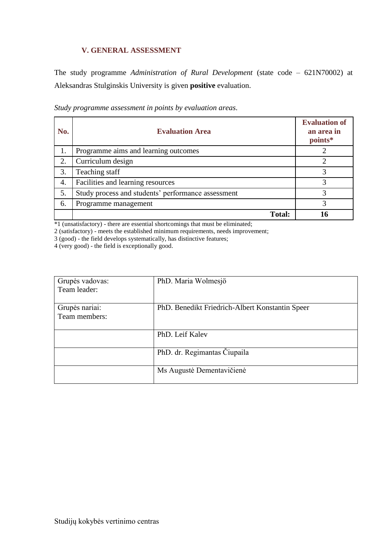### **V. GENERAL ASSESSMENT**

The study programme *Administration of Rural Development* (state code – 621N70002) at Aleksandras Stulginskis University is given **positive** evaluation.

| No. | <b>Evaluation Area</b>                             | <b>Evaluation of</b><br>an area in<br>points* |
|-----|----------------------------------------------------|-----------------------------------------------|
|     | Programme aims and learning outcomes               |                                               |
| 2.  | Curriculum design                                  |                                               |
| 3.  | Teaching staff                                     | 3                                             |
| 4.  | Facilities and learning resources                  | 3                                             |
| 5.  | Study process and students' performance assessment | 3                                             |
| 6.  | Programme management                               | 3                                             |
|     | <b>Total:</b>                                      |                                               |

*Study programme assessment in points by evaluation areas*.

\*1 (unsatisfactory) - there are essential shortcomings that must be eliminated;

2 (satisfactory) - meets the established minimum requirements, needs improvement;

3 (good) - the field develops systematically, has distinctive features;

4 (very good) - the field is exceptionally good.

| Grupės vadovas: | PhD. Maria Wolmesjö                             |
|-----------------|-------------------------------------------------|
| Team leader:    |                                                 |
| Grupės nariai:  | PhD. Benedikt Friedrich-Albert Konstantin Speer |
| Team members:   |                                                 |
|                 | PhD. Leif Kalev                                 |
|                 | PhD. dr. Regimantas Čiupaila                    |
|                 | Ms Augustė Dementavičienė                       |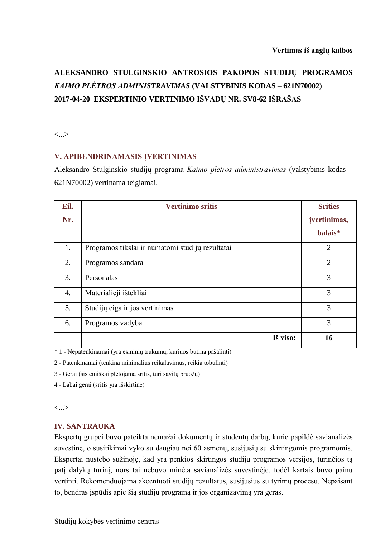# **ALEKSANDRO STULGINSKIO ANTROSIOS PAKOPOS STUDIJŲ PROGRAMOS**  *KAIMO PLĖTROS ADMINISTRAVIMAS* **(VALSTYBINIS KODAS – 621N70002) 2017-04-20 EKSPERTINIO VERTINIMO IŠVADŲ NR. SV8-62 IŠRAŠAS**

<...>

#### **V. APIBENDRINAMASIS ĮVERTINIMAS**

Aleksandro Stulginskio studijų programa *Kaimo plėtros administravimas* (valstybinis kodas – 621N70002) vertinama teigiamai.

| Eil.             | <b>Vertinimo sritis</b>                          | <b>Srities</b> |
|------------------|--------------------------------------------------|----------------|
| Nr.              |                                                  | jvertinimas,   |
|                  |                                                  | balais*        |
| 1.               | Programos tikslai ir numatomi studijų rezultatai | $\overline{2}$ |
| 2.               | Programos sandara                                | $\overline{2}$ |
| 3.               | Personalas                                       | 3              |
| $\overline{4}$ . | Materialieji ištekliai                           | 3              |
| 5.               | Studijų eiga ir jos vertinimas                   | 3              |
| 6.               | Programos vadyba                                 | 3              |
|                  | Iš viso:                                         | 16             |

\* 1 - Nepatenkinamai (yra esminių trūkumų, kuriuos būtina pašalinti)

2 - Patenkinamai (tenkina minimalius reikalavimus, reikia tobulinti)

3 - Gerai (sistemiškai plėtojama sritis, turi savitų bruožų)

4 - Labai gerai (sritis yra išskirtinė)

<...>

### **IV. SANTRAUKA**

Ekspertų grupei buvo pateikta nemažai dokumentų ir studentų darbų, kurie papildė savianalizės suvestinę, o susitikimai vyko su daugiau nei 60 asmenų, susijusių su skirtingomis programomis. Ekspertai nustebo sužinoję, kad yra penkios skirtingos studijų programos versijos, turinčios tą patį dalykų turinį, nors tai nebuvo minėta savianalizės suvestinėje, todėl kartais buvo painu vertinti. Rekomenduojama akcentuoti studijų rezultatus, susijusius su tyrimų procesu. Nepaisant to, bendras įspūdis apie šią studijų programą ir jos organizavimą yra geras.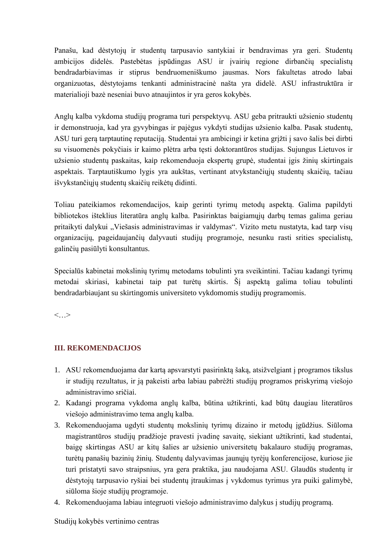Panašu, kad dėstytojų ir studentų tarpusavio santykiai ir bendravimas yra geri. Studentų ambicijos didelės. Pastebėtas įspūdingas ASU ir įvairių regione dirbančių specialistų bendradarbiavimas ir stiprus bendruomeniškumo jausmas. Nors fakultetas atrodo labai organizuotas, dėstytojams tenkanti administracinė našta yra didelė. ASU infrastruktūra ir materialioji bazė neseniai buvo atnaujintos ir yra geros kokybės.

Anglų kalba vykdoma studijų programa turi perspektyvų. ASU geba pritraukti užsienio studentų ir demonstruoja, kad yra gyvybingas ir pajėgus vykdyti studijas užsienio kalba. Pasak studentų, ASU turi gerą tarptautinę reputaciją. Studentai yra ambicingi ir ketina grįžti į savo šalis bei dirbti su visuomenės pokyčiais ir kaimo plėtra arba tęsti doktorantūros studijas. Sujungus Lietuvos ir užsienio studentų paskaitas, kaip rekomenduoja ekspertų grupė, studentai įgis žinių skirtingais aspektais. Tarptautiškumo lygis yra aukštas, vertinant atvykstančiųjų studentų skaičių, tačiau išvykstančiųjų studentų skaičių reikėtų didinti.

Toliau pateikiamos rekomendacijos, kaip gerinti tyrimų metodų aspektą. Galima papildyti bibliotekos išteklius literatūra anglų kalba. Pasirinktas baigiamųjų darbų temas galima geriau pritaikyti dalykui "Viešasis administravimas ir valdymas". Vizito metu nustatyta, kad tarp visų organizacijų, pageidaujančių dalyvauti studijų programoje, nesunku rasti srities specialistų, galinčių pasiūlyti konsultantus.

Specialūs kabinetai mokslinių tyrimų metodams tobulinti yra sveikintini. Tačiau kadangi tyrimų metodai skiriasi, kabinetai taip pat turėtų skirtis. Šį aspektą galima toliau tobulinti bendradarbiaujant su skirtingomis universiteto vykdomomis studijų programomis.

<…>

### **III. REKOMENDACIJOS**

- 1. ASU rekomenduojama dar kartą apsvarstyti pasirinktą šaką, atsižvelgiant į programos tikslus ir studijų rezultatus, ir ją pakeisti arba labiau pabrėžti studijų programos priskyrimą viešojo administravimo sričiai.
- 2. Kadangi programa vykdoma anglų kalba, būtina užtikrinti, kad būtų daugiau literatūros viešojo administravimo tema anglų kalba.
- 3. Rekomenduojama ugdyti studentų mokslinių tyrimų dizaino ir metodų įgūdžius. Siūloma magistrantūros studijų pradžioje pravesti įvadinę savaitę, siekiant užtikrinti, kad studentai, baigę skirtingas ASU ar kitų šalies ar užsienio universitetų bakalauro studijų programas, turėtų panašių bazinių žinių. Studentų dalyvavimas jaunųjų tyrėjų konferencijose, kuriose jie turi pristatyti savo straipsnius, yra gera praktika, jau naudojama ASU. Glaudūs studentų ir dėstytojų tarpusavio ryšiai bei studentų įtraukimas į vykdomus tyrimus yra puiki galimybė, siūloma šioje studijų programoje.
- 4. Rekomenduojama labiau integruoti viešojo administravimo dalykus į studijų programą.

#### Studijų kokybės vertinimo centras